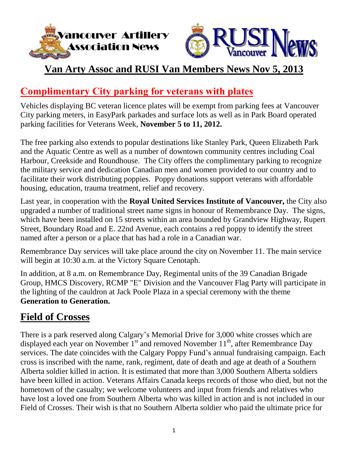



# **Van Arty Assoc and RUSI Van Members News Nov 5, 2013**

# **Complimentary City parking for veterans with plates**

Vehicles displaying BC veteran licence plates will be exempt from parking fees at Vancouver City parking meters, in EasyPark parkades and surface lots as well as in Park Board operated parking facilities for Veterans Week, **November 5 to 11, 2012.**

The free parking also extends to popular destinations like Stanley Park, Queen Elizabeth Park and the Aquatic Centre as well as a number of downtown community centres including Coal Harbour, Creekside and Roundhouse. The City offers the complimentary parking to recognize the military service and dedication Canadian men and women provided to our country and to facilitate their work distributing poppies. Poppy donations support veterans with affordable housing, education, trauma treatment, relief and recovery.

Last year, in cooperation with the **Royal United Services Institute of Vancouver,** the City also upgraded a number of traditional street name signs in honour of Remembrance Day. The signs, which have been installed on 15 streets within an area bounded by Grandview Highway, Rupert Street, Boundary Road and E. 22nd Avenue, each contains a red poppy to identify the street named after a person or a place that has had a role in a Canadian war.

Remembrance Day services will take place around the city on November 11. The main service will begin at 10:30 a.m. at the Victory Square Cenotaph.

In addition, at 8 a.m. on Remembrance Day, Regimental units of the 39 Canadian Brigade Group, HMCS Discovery, RCMP "E" Division and the Vancouver Flag Party will participate in the lighting of the cauldron at Jack Poole Plaza in a special ceremony with the theme **Generation to Generation.**

# **Field of Crosses**

There is a park reserved along Calgary"s Memorial Drive for 3,000 white crosses which are displayed each year on November  $1^{st}$  and removed November  $11^{th}$ , after Remembrance Day services. The date coincides with the Calgary Poppy Fund"s annual fundraising campaign. Each cross is inscribed with the name, rank, regiment, date of death and age at death of a Southern Alberta soldier killed in action. It is estimated that more than 3,000 Southern Alberta soldiers have been killed in action. Veterans Affairs Canada keeps records of those who died, but not the hometown of the casualty; we welcome volunteers and input from friends and relatives who have lost a loved one from Southern Alberta who was killed in action and is not included in our Field of Crosses. Their wish is that no Southern Alberta soldier who paid the ultimate price for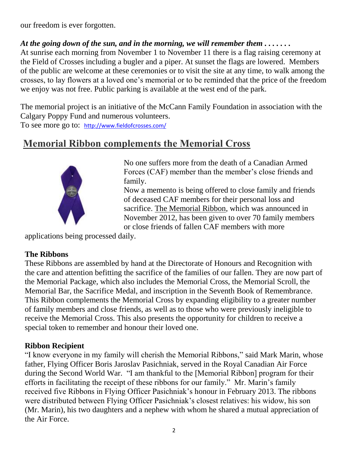our freedom is ever forgotten.

#### At the going down of the sun, and in the morning, we will remember them  $\dots \dots$

At sunrise each morning from November 1 to November 11 there is a flag raising ceremony at the Field of Crosses including a bugler and a piper. At sunset the flags are lowered. Members of the public are welcome at these ceremonies or to visit the site at any time, to walk among the crosses, to lay flowers at a loved one"s memorial or to be reminded that the price of the freedom we enjoy was not free. Public parking is available at the west end of the park.

The memorial project is an initiative of the McCann Family Foundation in association with the Calgary Poppy Fund and numerous volunteers.

To see more go to: http://www.fieldofcrosses.com/

## **Memorial Ribbon complements the Memorial Cross**



No one suffers more from the death of a Canadian Armed Forces (CAF) member than the member's close friends and family.

Now a memento is being offered to close family and friends of deceased CAF members for their personal loss and sacrifice. The Memorial Ribbon, which was announced in November 2012, has been given to over 70 family members or close friends of fallen CAF members with more

applications being processed daily.

#### **The Ribbons**

These Ribbons are assembled by hand at the Directorate of Honours and Recognition with the care and attention befitting the sacrifice of the families of our fallen. They are now part of the Memorial Package, which also includes the Memorial Cross, the Memorial Scroll, the Memorial Bar, the Sacrifice Medal, and inscription in the Seventh Book of Remembrance. This Ribbon complements the Memorial Cross by expanding eligibility to a greater number of family members and close friends, as well as to those who were previously ineligible to receive the Memorial Cross. This also presents the opportunity for children to receive a special token to remember and honour their loved one.

#### **Ribbon Recipient**

"I know everyone in my family will cherish the Memorial Ribbons," said Mark Marin, whose father, Flying Officer Boris Jaroslav Pasichniak, served in the Royal Canadian Air Force during the Second World War. "I am thankful to the [Memorial Ribbon] program for their efforts in facilitating the receipt of these ribbons for our family." Mr. Marin"s family received five Ribbons in Flying Officer Pasichniak"s honour in February 2013. The ribbons were distributed between Flying Officer Pasichniak"s closest relatives: his widow, his son (Mr. Marin), his two daughters and a nephew with whom he shared a mutual appreciation of the Air Force.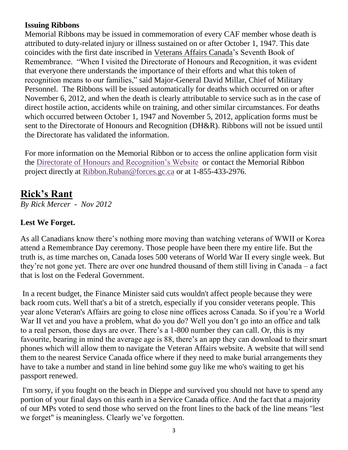#### **Issuing Ribbons**

Memorial Ribbons may be issued in commemoration of every CAF member whose death is attributed to duty-related injury or illness sustained on or after October 1, 1947. This date coincides with the first date inscribed in [Veterans Affairs Canada"](http://www.veterans.gc.ca/eng/)s Seventh Book of Remembrance. "When I visited the Directorate of Honours and Recognition, it was evident that everyone there understands the importance of their efforts and what this token of recognition means to our families," said Major-General David Millar, Chief of Military Personnel. The Ribbons will be issued automatically for deaths which occurred on or after November 6, 2012, and when the death is clearly attributable to service such as in the case of direct hostile action, accidents while on training, and other similar circumstances. For deaths which occurred between October 1, 1947 and November 5, 2012, application forms must be sent to the Directorate of Honours and Recognition (DH&R). Ribbons will not be issued until the Directorate has validated the information.

For more information on the Memorial Ribbon or to access the online application form visit the [Directorate of Honours and Recognition"s Website](http://www.cmp-cpm.forces.gc.ca/dhr-ddhr/chc-tdh/chart-tableau-eng.asp?ref=MemR) or contact the Memorial Ribbon project directly at [Ribbon.Ruban@forces.gc.ca](mailto:Ribbon.Ruban@forces.gc.ca) or at 1-855-433-2976.

# **Rick's Rant**

*By Rick Mercer - Nov 2012*

### **Lest We Forget.**

As all Canadians know there's nothing more moving than watching veterans of WWII or Korea attend a Remembrance Day ceremony. Those people have been there my entire life. But the truth is, as time marches on, Canada loses 500 veterans of World War II every single week. But they"re not gone yet. There are over one hundred thousand of them still living in Canada – a fact that is lost on the Federal Government.

In a recent budget, the Finance Minister said cuts wouldn't affect people because they were back room cuts. Well that's a bit of a stretch, especially if you consider veterans people. This year alone Veteran's Affairs are going to close nine offices across Canada. So if you"re a World War II vet and you have a problem, what do you do? Well you don't go into an office and talk to a real person, those days are over. There"s a 1-800 number they can call. Or, this is my favourite, bearing in mind the average age is 88, there"s an app they can download to their smart phones which will allow them to navigate the Veteran Affairs website. A website that will send them to the nearest Service Canada office where if they need to make burial arrangements they have to take a number and stand in line behind some guy like me who's waiting to get his passport renewed.

I'm sorry, if you fought on the beach in Dieppe and survived you should not have to spend any portion of your final days on this earth in a Service Canada office. And the fact that a majority of our MPs voted to send those who served on the front lines to the back of the line means "lest we forget" is meaningless. Clearly we"ve forgotten.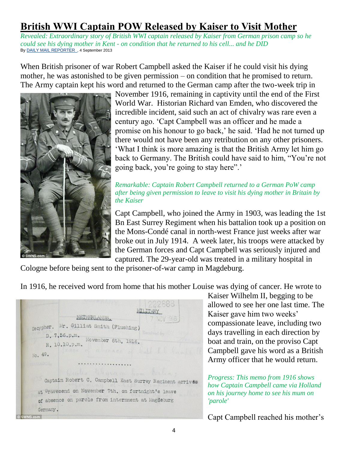# **British WWI Captain POW Released by Kaiser to Visit Mother**

*Revealed: Extraordinary story of British WWI captain released by Kaiser from German prison camp so he could see his dying mother in Kent - on condition that he returned to his cell... and he DID* By DAILY MAIL REPORTER , 4 September 2013

When British prisoner of war Robert Campbell asked the Kaiser if he could visit his dying mother, he was astonished to be given permission – on condition that he promised to return. The Army captain kept his word and returned to the German camp after the two-week trip in



November 1916, remaining in captivity until the end of the First World War. Historian Richard van Emden, who discovered the incredible incident, said such an act of chivalry was rare even a century ago. "Capt Campbell was an officer and he made a promise on his honour to go back," he said. "Had he not turned up there would not have been any retribution on any other prisoners. "What I think is more amazing is that the British Army let him go back to Germany. The British could have said to him, "You"re not going back, you're going to stay here".

#### *Remarkable: Captain Robert Campbell returned to a German PoW camp after being given permission to leave to visit his dying mother in Britain by the Kaiser*

Capt Campbell, who joined the Army in 1903, was leading the 1st Bn East Surrey Regiment when his battalion took up a position on the Mons-Condé canal in north-west France just weeks after war broke out in July 1914. A week later, his troops were attacked by the German forces and Capt Campbell was seriously injured and captured. The 29-year-old was treated in a military hospital in

Cologne before being sent to the prisoner-of-war camp in Magdeburg.

In 1916, he received word from home that his mother Louise was dying of cancer. He wrote to

NETHERLANDS. nacypher. Mr. Gilliat Smith (Flushing) D. 7.56.p.m. November 6th, 1916. R. 10.10.p.m. No. 49. Captain Robert C. Campbell East Surrey Regiment arrives at Gravesend on November 7th. on fortnight's leave of absence on parole from internment at Magdeburg Germany.

Kaiser Wilhelm II, begging to be allowed to see her one last time. The Kaiser gave him two weeks" compassionate leave, including two days travelling in each direction by boat and train, on the proviso Capt Campbell gave his word as a British Army officer that he would return.

*Progress: This memo from 1916 shows how Captain Campbell came via Holland on his journey home to see his mum on 'parole'*

Capt Campbell reached his mother's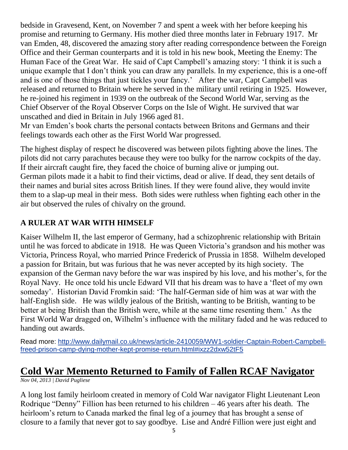bedside in Gravesend, Kent, on November 7 and spent a week with her before keeping his promise and returning to Germany. His mother died three months later in February 1917. Mr van Emden, 48, discovered the amazing story after reading correspondence between the Foreign Office and their German counterparts and it is told in his new book, Meeting the Enemy: The Human Face of the Great War. He said of Capt Campbell"s amazing story: "I think it is such a unique example that I don"t think you can draw any parallels. In my experience, this is a one-off and is one of those things that just tickles your fancy." After the war, Capt Campbell was released and returned to Britain where he served in the military until retiring in 1925. However, he re-joined his regiment in 1939 on the outbreak of the Second World War, serving as the Chief Observer of the Royal Observer Corps on the Isle of Wight. He survived that war unscathed and died in Britain in July 1966 aged 81.

Mr van Emden"s book charts the personal contacts between Britons and Germans and their feelings towards each other as the First World War progressed.

The highest display of respect he discovered was between pilots fighting above the lines. The pilots did not carry parachutes because they were too bulky for the narrow cockpits of the day. If their aircraft caught fire, they faced the choice of burning alive or jumping out. German pilots made it a habit to find their victims, dead or alive. If dead, they sent details of their names and burial sites across British lines. If they were found alive, they would invite them to a slap-up meal in their mess. Both sides were ruthless when fighting each other in the air but observed the rules of chivalry on the ground.

### **A RULER AT WAR WITH HIMSELF**

Kaiser Wilhelm II, the last emperor of Germany, had a schizophrenic relationship with Britain until he was forced to abdicate in 1918. He was Queen Victoria's grandson and his mother was Victoria, Princess Royal, who married Prince Frederick of Prussia in 1858. Wilhelm developed a passion for Britain, but was furious that he was never accepted by its high society. The expansion of the German navy before the war was inspired by his love, and his mother"s, for the Royal Navy. He once told his uncle Edward VII that his dream was to have a "fleet of my own someday". Historian David Fromkin said: "The half-German side of him was at war with the half-English side. He was wildly jealous of the British, wanting to be British, wanting to be better at being British than the British were, while at the same time resenting them." As the First World War dragged on, Wilhelm"s influence with the military faded and he was reduced to handing out awards.

Read more: [http://www.dailymail.co.uk/news/article-2410059/WW1-soldier-Captain-Robert-Campbell](http://www.dailymail.co.uk/news/article-2410059/WW1-soldier-Captain-Robert-Campbell-freed-prison-camp-dying-mother-kept-promise-return.html#ixzz2dxw52tF5)[freed-prison-camp-dying-mother-kept-promise-return.html#ixzz2dxw52tF5](http://www.dailymail.co.uk/news/article-2410059/WW1-soldier-Captain-Robert-Campbell-freed-prison-camp-dying-mother-kept-promise-return.html#ixzz2dxw52tF5)

# **Cold War Memento Returned to Family of Fallen RCAF Navigator**

*Nov 04, 2013 | David Pugliese*

A long lost family heirloom created in memory of Cold War navigator Flight Lieutenant Leon Rodrique "Denny" Fillion has been returned to his children – 46 years after his death. The heirloom"s return to Canada marked the final leg of a journey that has brought a sense of closure to a family that never got to say goodbye. Lise and André Fillion were just eight and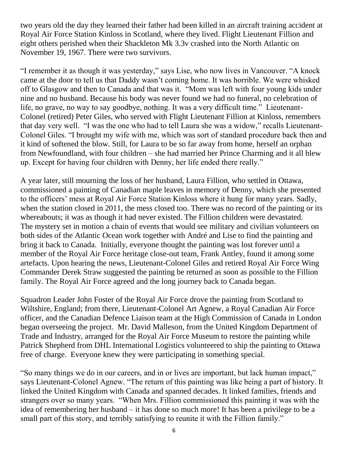two years old the day they learned their father had been killed in an aircraft training accident at Royal Air Force Station Kinloss in Scotland, where they lived. Flight Lieutenant Fillion and eight others perished when their Shackleton Mk 3.3v crashed into the North Atlantic on November 19, 1967. There were two survivors.

"I remember it as though it was yesterday," says Lise, who now lives in Vancouver. "A knock came at the door to tell us that Daddy wasn"t coming home. It was horrible. We were whisked off to Glasgow and then to Canada and that was it. "Mom was left with four young kids under nine and no husband. Because his body was never found we had no funeral, no celebration of life, no grave, no way to say goodbye, nothing. It was a very difficult time." Lieutenant-Colonel (retired) Peter Giles, who served with Flight Lieutenant Fillion at Kinloss, remembers that day very well. "I was the one who had to tell Laura she was a widow," recalls Lieutenant-Colonel Giles. "I brought my wife with me, which was sort of standard procedure back then and it kind of softened the blow. Still, for Laura to be so far away from home, herself an orphan from Newfoundland, with four children – she had married her Prince Charming and it all blew up. Except for having four children with Denny, her life ended there really."

A year later, still mourning the loss of her husband, Laura Fillion, who settled in Ottawa, commissioned a painting of Canadian maple leaves in memory of Denny, which she presented to the officers" mess at Royal Air Force Station Kinloss where it hung for many years. Sadly, when the station closed in 2011, the mess closed too. There was no record of the painting or its whereabouts; it was as though it had never existed. The Fillion children were devastated. The mystery set in motion a chain of events that would see military and civilian volunteers on both sides of the Atlantic Ocean work together with André and Lise to find the painting and bring it back to Canada. Initially, everyone thought the painting was lost forever until a member of the Royal Air Force heritage close-out team, Frank Antley, found it among some artefacts. Upon hearing the news, Lieutenant-Colonel Giles and retired Royal Air Force Wing Commander Derek Straw suggested the painting be returned as soon as possible to the Fillion family. The Royal Air Force agreed and the long journey back to Canada began.

Squadron Leader John Foster of the Royal Air Force drove the painting from Scotland to Wiltshire, England; from there, Lieutenant-Colonel Art Agnew, a Royal Canadian Air Force officer, and the Canadian Defence Liaison team at the High Commission of Canada in London began overseeing the project. Mr. David Malleson, from the United Kingdom Department of Trade and Industry, arranged for the Royal Air Force Museum to restore the painting while Patrick Shepherd from DHL International Logistics volunteered to ship the painting to Ottawa free of charge. Everyone knew they were participating in something special.

"So many things we do in our careers, and in or lives are important, but lack human impact," says Lieutenant-Colonel Agnew. "The return of this painting was like being a part of history. It linked the United Kingdom with Canada and spanned decades. It linked families, friends and strangers over so many years. "When Mrs. Fillion commissioned this painting it was with the idea of remembering her husband – it has done so much more! It has been a privilege to be a small part of this story, and terribly satisfying to reunite it with the Fillion family."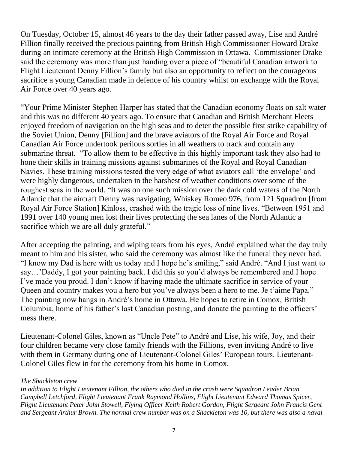On Tuesday, October 15, almost 46 years to the day their father passed away, Lise and André Fillion finally received the precious painting from British High Commissioner Howard Drake during an intimate ceremony at the British High Commission in Ottawa. Commissioner Drake said the ceremony was more than just handing over a piece of "beautiful Canadian artwork to Flight Lieutenant Denny Fillion"s family but also an opportunity to reflect on the courageous sacrifice a young Canadian made in defence of his country whilst on exchange with the Royal Air Force over 40 years ago.

"Your Prime Minister Stephen Harper has stated that the Canadian economy floats on salt water and this was no different 40 years ago. To ensure that Canadian and British Merchant Fleets enjoyed freedom of navigation on the high seas and to deter the possible first strike capability of the Soviet Union, Denny [Fillion] and the brave aviators of the Royal Air Force and Royal Canadian Air Force undertook perilous sorties in all weathers to track and contain any submarine threat. "To allow them to be effective in this highly important task they also had to hone their skills in training missions against submarines of the Royal and Royal Canadian Navies. These training missions tested the very edge of what aviators call "the envelope" and were highly dangerous, undertaken in the harshest of weather conditions over some of the roughest seas in the world. "It was on one such mission over the dark cold waters of the North Atlantic that the aircraft Denny was navigating, Whiskey Romeo 976, from 121 Squadron [from Royal Air Force Station] Kinloss, crashed with the tragic loss of nine lives. "Between 1951 and 1991 over 140 young men lost their lives protecting the sea lanes of the North Atlantic a sacrifice which we are all duly grateful."

After accepting the painting, and wiping tears from his eyes, André explained what the day truly meant to him and his sister, who said the ceremony was almost like the funeral they never had. "I know my Dad is here with us today and I hope he"s smiling," said André. "And I just want to say…"Daddy, I got your painting back. I did this so you"d always be remembered and I hope I"ve made you proud. I don"t know if having made the ultimate sacrifice in service of your Queen and country makes you a hero but you've always been a hero to me. Je t'aime Papa." The painting now hangs in André's home in Ottawa. He hopes to retire in Comox, British Columbia, home of his father's last Canadian posting, and donate the painting to the officers' mess there.

Lieutenant-Colonel Giles, known as "Uncle Pete" to André and Lise, his wife, Joy, and their four children became very close family friends with the Fillions, even inviting André to live with them in Germany during one of Lieutenant-Colonel Giles' European tours. Lieutenant-Colonel Giles flew in for the ceremony from his home in Comox.

#### *The Shackleton crew*

*In addition to Flight Lieutenant Fillion, the others who died in the crash were Squadron Leader Brian Campbell Letchford, Flight Lieutenant Frank Raymond Hollins, Flight Lieutenant Edward Thomas Spicer, Flight Lieutenant Peter John Stowell, Flying Officer Keith Robert Gordon, Flight Sergeant John Francis Gent and Sergeant Arthur Brown. The normal crew number was on a Shackleton was 10, but there was also a naval*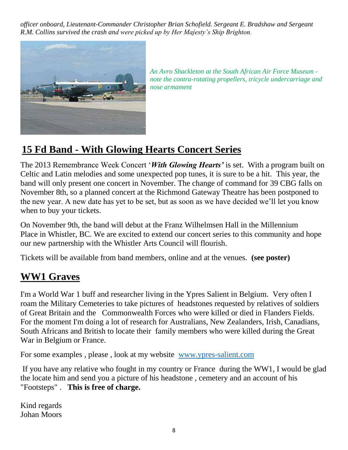*officer onboard, Lieutenant-Commander Christopher Brian Schofield. Sergeant E. Bradshaw and Sergeant R.M. Collins survived the crash and were picked up by Her Majesty's Ship Brighton.*



*An Avro Shackleton at the South African Air Force Museum note the contra-rotating propellers, tricycle undercarriage and nose armament*

# **15 Fd Band - With Glowing Hearts Concert Series**

The 2013 Remembrance Week Concert "*With Glowing Hearts'* is set. With a program built on Celtic and Latin melodies and some unexpected pop tunes, it is sure to be a hit. This year, the band will only present one concert in November. The change of command for 39 CBG falls on November 8th, so a planned concert at the Richmond Gateway Theatre has been postponed to the new year. A new date has yet to be set, but as soon as we have decided we"ll let you know when to buy your tickets.

On November 9th, the band will debut at the Franz Wilhelmsen Hall in the Millennium Place in Whistler, BC. We are excited to extend our concert series to this community and hope our new partnership with the Whistler Arts Council will flourish.

Tickets will be available from band members, online and at the venues. **(see poster)**

# **WW1 Graves**

I'm a World War 1 buff and researcher living in the Ypres Salient in Belgium. Very often I roam the Military Cemeteries to take pictures of headstones requested by relatives of soldiers of Great Britain and the Commonwealth Forces who were killed or died in Flanders Fields. For the moment I'm doing a lot of research for Australians, New Zealanders, Irish, Canadians, South Africans and British to locate their family members who were killed during the Great War in Belgium or France.

For some examples , please , look at my website www.ypres-salient.com

If you have any relative who fought in my country or France during the WW1, I would be glad the locate him and send you a picture of his headstone , cemetery and an account of his "Footsteps" . **This is free of charge.**

Kind regards Johan Moors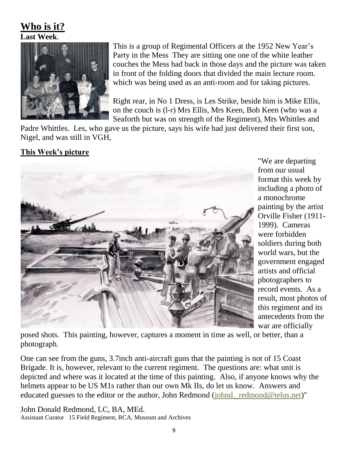## **Who is it? Last Week**.



This is a group of Regimental Officers at the 1952 New Year's Party in the Mess They are sitting one one of the white leather couches the Mess had back in those days and the picture was taken in front of the folding doors that divided the main lecture room. which was being used as an anti-room and for taking pictures.

Right rear, in No 1 Dress, is Les Strike, beside him is Mike Ellis, on the couch is (l-r) Mrs Ellis, Mrs Keen, Bob Keen (who was a Seaforth but was on strength of the Regiment), Mrs Whittles and

Padre Whittles. Les, who gave us the picture, says his wife had just delivered their first son, Nigel, and was still in VGH,

#### **This Week's picture**



"We are departing from our usual format this week by including a photo of a monochrome painting by the artist Orville Fisher (1911- 1999). Cameras were forbidden soldiers during both world wars, but the government engaged artists and official photographers to record events. As a result, most photos of this regiment and its antecedents from the war are officially

posed shots. This painting, however, captures a moment in time as well, or better, than a photograph.

One can see from the guns, 3.7inch anti-aircraft guns that the painting is not of 15 Coast Brigade. It is, however, relevant to the current regiment. The questions are: what unit is depicted and where was it located at the time of this painting. Also, if anyone knows why the helmets appear to be US M1s rather than our own Mk IIs, do let us know. Answers and educated guesses to the editor or the author, John Redmond (johnd.\_redmond@telus.net)"

John Donald Redmond, LC, BA, MEd. Assistant Curator 15 Field Regiment, RCA, Museum and Archives